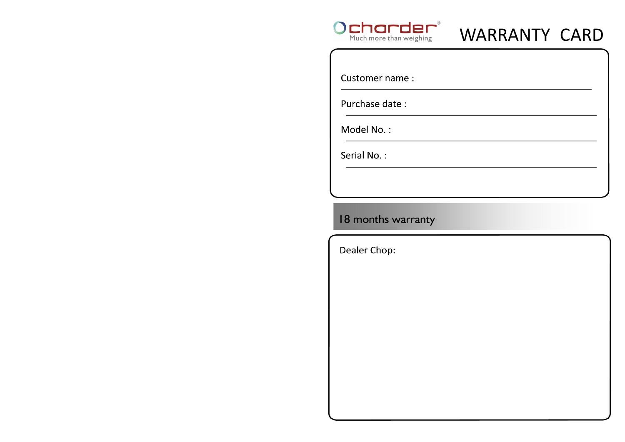

# WARRANTY CARD

Customer name:

Purchase date:

Model No.:

Serial No.:

## 18 months warranty

Dealer Chop: